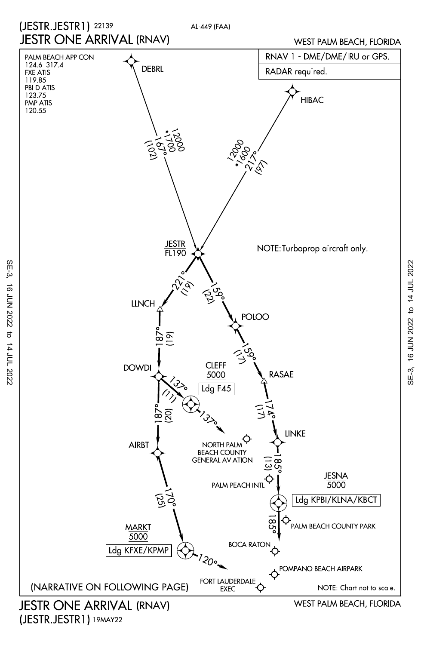

(JESTR.JESTR1) 19MAY22

SE-3, 16 JUN 2022 to 14 JUL 2022

 $\vec{\sigma}$ 

14 JUL 2022

16 JUN 2022

SE-3,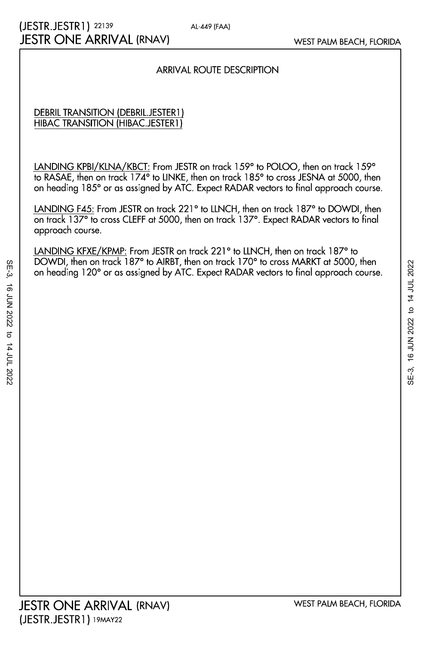### ARRIVAL ROUTE DESCRIPTION

### HIBAC TRANSITION (HIBAC.JESTER1) DEBRIL TRANSITION (DEBRIL.JESTER1)

on heading 185° or as assigned by ATC. Expect RADAR vectors to final approach course. to RASAE, then on track 174° to LINKE, then on track 185° to cross JESNA at 5000, then LANDING KPBI/KLNA/KBCT: From JESTR on track 159° to POLOO, then on track 159°

approach course. on track 137° to cross CLEFF at 5000, then on track 137°. Expect RADAR vectors to final LANDING F45: From JESTR on track 221° to LLNCH, then on track 187° to DOWDI, then

on heading 120° or as assigned by ATC. Expect RADAR vectors to final approach course. DOWDI, then on track 187° to AIRBT, then on track 170° to cross MARKT at 5000, then LANDING KFXE/KPMP: From JESTR on track 221° to LLNCH, then on track 187° to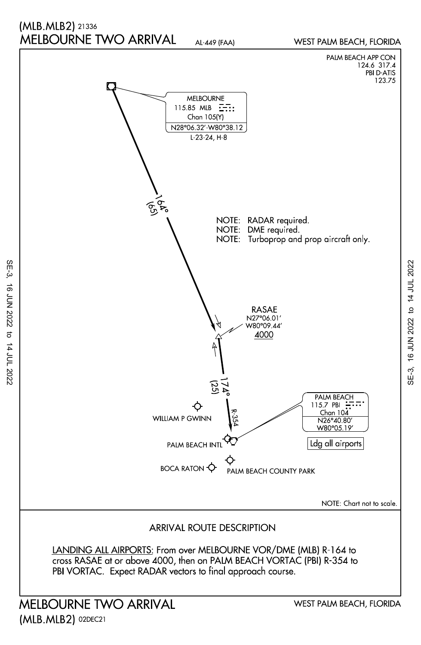## MELBOURNE TWO ARRIVAL (MLB.MLB2) 21336

AL-449 (FAA)

WEST PALM BEACH, FLORIDA



MELBOURNE TWO ARRIVAL (MLB.MLB2) 02DEC21

SE-3, 16 JUN 2022 to 14 JUL 2022

16 JUN 2022

SE-3,